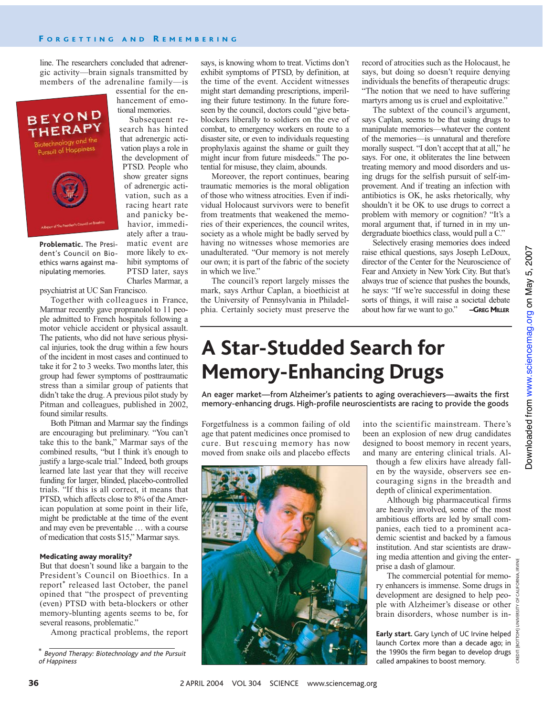tional memories. Subsequent research has hinted that adrenergic activation plays a role in the development of PTSD. People who show greater signs of adrenergic activation, such as a racing heart rate and panicky behavior, immediately after a traumatic event are more likely to exhibit symptoms of PTSD later, says Charles Marmar, a

line. The researchers concluded that adrenergic activity—brain signals transmitted by members of the adrenaline family—is



**Problematic.** The President's Council on Bioethics warns against manipulating memories.

psychiatrist at UC San Francisco.

Together with colleagues in France, Marmar recently gave propranolol to 11 people admitted to French hospitals following a motor vehicle accident or physical assault. The patients, who did not have serious physical injuries, took the drug within a few hours of the incident in most cases and continued to take it for 2 to 3 weeks. Two months later, this group had fewer symptoms of posttraumatic stress than a similar group of patients that didn't take the drug. A previous pilot study by Pitman and colleagues, published in 2002, found similar results.

Both Pitman and Marmar say the findings are encouraging but preliminary. "You can't take this to the bank," Marmar says of the combined results, "but I think it's enough to justify a large-scale trial." Indeed, both groups learned late last year that they will receive funding for larger, blinded, placebo-controlled trials. "If this is all correct, it means that PTSD, which affects close to 8% of the American population at some point in their life, might be predictable at the time of the event and may even be preventable … with a course of medication that costs \$15," Marmar says.

## Medicating away morality?

But that doesn't sound like a bargain to the President's Council on Bioethics. In a report\* released last October, the panel opined that "the prospect of preventing (even) PTSD with beta-blockers or other memory-blunting agents seems to be, for several reasons, problematic."

Among practical problems, the report

says, is knowing whom to treat. Victims don't exhibit symptoms of PTSD, by definition, at the time of the event. Accident witnesses might start demanding prescriptions, imperiling their future testimony. In the future foreseen by the council, doctors could "give betablockers liberally to soldiers on the eve of combat, to emergency workers en route to a disaster site, or even to individuals requesting prophylaxis against the shame or guilt they might incur from future misdeeds." The potential for misuse, they claim, abounds.

Moreover, the report continues, bearing traumatic memories is the moral obligation of those who witness atrocities. Even if individual Holocaust survivors were to benefit from treatments that weakened the memories of their experiences, the council writes, society as a whole might be badly served by having no witnesses whose memories are unadulterated. "Our memory is not merely our own; it is part of the fabric of the society in which we live."

The council's report largely misses the mark, says Arthur Caplan, a bioethicist at the University of Pennsylvania in Philadelphia. Certainly society must preserve the record of atrocities such as the Holocaust, he says, but doing so doesn't require denying individuals the benefits of therapeutic drugs: "The notion that we need to have suffering martyrs among us is cruel and exploitative."

The subtext of the council's argument, says Caplan, seems to be that using drugs to manipulate memories—whatever the content of the memories—is unnatural and therefore morally suspect. "I don't accept that at all," he says. For one, it obliterates the line between treating memory and mood disorders and using drugs for the selfish pursuit of self-improvement. And if treating an infection with antibiotics is OK, he asks rhetorically, why shouldn't it be OK to use drugs to correct a problem with memory or cognition? "It's a moral argument that, if turned in in my undergraduate bioethics class, would pull a C."

Selectively erasing memories does indeed raise ethical questions, says Joseph LeDoux, director of the Center for the Neuroscience of Fear and Anxiety in New York City. But that's always true of science that pushes the bounds, he says: "If we're successful in doing these sorts of things, it will raise a societal debate about how far we want to go." –GREG MILLER

# **A Star-Studded Search for Memory-Enhancing Drugs**

An eager market—from Alzheimer's patients to aging overachievers—awaits the first memory-enhancing drugs. High-profile neuroscientists are racing to provide the goods

Forgetfulness is a common failing of old age that patent medicines once promised to cure. But rescuing memory has now moved from snake oils and placebo effects



into the scientific mainstream. There's been an explosion of new drug candidates designed to boost memory in recent years, and many are entering clinical trials. Al-

though a few elixirs have already fallen by the wayside, observers see encouraging signs in the breadth and depth of clinical experimentation.

Although big pharmaceutical firms are heavily involved, some of the most ambitious efforts are led by small companies, each tied to a prominent academic scientist and backed by a famous institution. And star scientists are drawing media attention and giving the enterprise a dash of glamour.

The commercial potential for memory enhancers is immense. Some drugs in development are designed to help people with Alzheimer's disease or other brain disorders, whose number is in-

**Early start.** Gary Lynch of UC Irvine helped launch Cortex more than a decade ago; in  $\frac{5}{2}$ the 1990s the firm began to develop drugs CREDIT: called ampakines to boost memory.

CREDIT: (BOTTOM) UNIVERSITY OF CALIFORNIA, IRVINE

Beyond Therapy: Biotechnology and the Pursuit of Happiness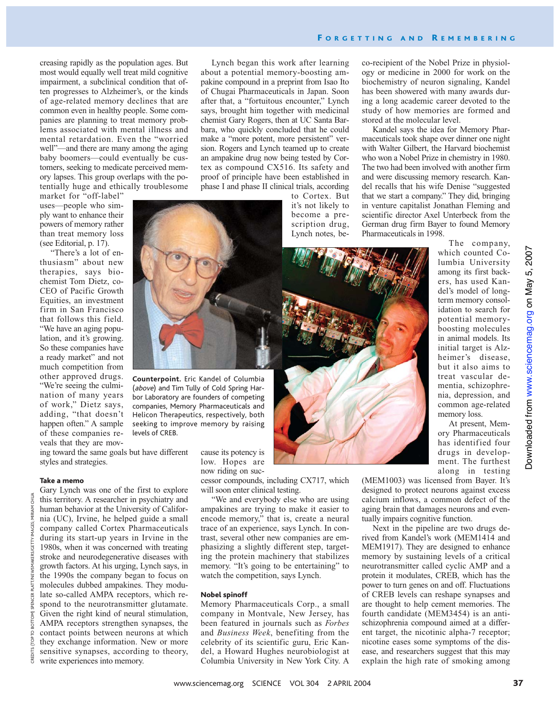creasing rapidly as the population ages. But most would equally well treat mild cognitive impairment, a subclinical condition that often progresses to Alzheimer's, or the kinds of age-related memory declines that are common even in healthy people. Some companies are planning to treat memory problems associated with mental illness and mental retardation. Even the "worried well"—and there are many among the aging baby boomers—could eventually be customers, seeking to medicate perceived memory lapses. This group overlaps with the potentially huge and ethically troublesome

market for "off-label" uses—people who simply want to enhance their powers of memory rather than treat memory loss (see Editorial, p. 17).

"There's a lot of enthusiasm" about new therapies, says biochemist Tom Dietz, co-CEO of Pacific Growth Equities, an investment firm in San Francisco that follows this field. "We have an aging population, and it's growing. So these companies have a ready market" and not much competition from other approved drugs. "We're seeing the culmination of many years of work," Dietz says, adding, "that doesn't happen often." A sample of these companies reveals that they are moving toward the same goals but have different

Lynch began this work after learning about a potential memory-boosting ampakine compound in a preprint from Isao Ito of Chugai Pharmaceuticals in Japan. Soon after that, a "fortuitous encounter," Lynch says, brought him together with medicinal chemist Gary Rogers, then at UC Santa Barbara, who quickly concluded that he could make a "more potent, more persistent" version. Rogers and Lynch teamed up to create an ampakine drug now being tested by Cortex as compound CX516. Its safety and proof of principle have been established in phase I and phase II clinical trials, according

> to Cortex. But it's not likely to become a prescription drug, Lynch notes, be

co-recipient of the Nobel Prize in physiology or medicine in 2000 for work on the biochemistry of neuron signaling, Kandel has been showered with many awards during a long academic career devoted to the study of how memories are formed and stored at the molecular level.

Kandel says the idea for Memory Pharmaceuticals took shape over dinner one night with Walter Gilbert, the Harvard biochemist who won a Nobel Prize in chemistry in 1980. The two had been involved with another firm and were discussing memory research. Kandel recalls that his wife Denise "suggested that we start a company." They did, bringing in venture capitalist Jonathan Fleming and scientific director Axel Unterbeck from the German drug firm Bayer to found Memory Pharmaceuticals in 1998.

The company, which counted Columbia University among its first backers, has used Kandel's model of longterm memory consolidation to search for potential memoryboosting molecules in animal models. Its initial target is Alzheimer's disease, but it also aims to treat vascular dementia, schizophrenia, depression, and common age-related memory loss.

At present, Memory Pharmaceuticals has identified four drugs in development. The furthest along in testing (MEM1003) was licensed from Bayer. It's

designed to protect neurons against excess calcium inflows, a common defect of the aging brain that damages neurons and even-

Next in the pipeline are two drugs derived from Kandel's work (MEM1414 and MEM1917). They are designed to enhance memory by sustaining levels of a critical neurotransmitter called cyclic AMP and a protein it modulates, CREB, which has the power to turn genes on and off. Fluctuations of CREB levels can reshape synapses and are thought to help cement memories. The fourth candidate (MEM3454) is an antischizophrenia compound aimed at a different target, the nicotinic alpha-7 receptor; nicotine eases some symptoms of the disease, and researchers suggest that this may explain the high rate of smoking among

tually impairs cognitive function.

**Counterpoint.** Eric Kandel of Columbia

(above) and Tim Tully of Cold Spring Harbor Laboratory are founders of competing companies, Memory Pharmaceuticals and Helicon Therapeutics, respectively, both seeking to improve memory by raising levels of CREB.

#### Take a memo

CREDITS: (TOP TO BOTTOM) SPENCER PLATT/NEWSMAKERS/GETTY IMAGES; MIRIAM CHUA

ĝ CREDITS

MIRIAM CHUA

styles and strategies.

Gary Lynch was one of the first to explore this territory. A researcher in psychiatry and human behavior at the University of California (UC), Irvine, he helped guide a small company called Cortex Pharmaceuticals during its start-up years in Irvine in the 1980s, when it was concerned with treating stroke and neurodegenerative diseases with growth factors. At his urging, Lynch says, in the 1990s the company began to focus on molecules dubbed ampakines. They modulate so-called AMPA receptors, which respond to the neurotransmitter glutamate. Given the right kind of neural stimulation, AMPA receptors strengthen synapses, the contact points between neurons at which they exchange information. New or more sensitive synapses, according to theory, write experiences into memory.

cause its potency is low. Hopes are now riding on suc-

cessor compounds, including CX717, which will soon enter clinical testing.

"We and everybody else who are using ampakines are trying to make it easier to encode memory," that is, create a neural trace of an experience, says Lynch. In contrast, several other new companies are emphasizing a slightly different step, targeting the protein machinery that stabilizes memory. "It's going to be entertaining" to watch the competition, says Lynch.

### Nobel spinoff

Memory Pharmaceuticals Corp., a small company in Montvale, New Jersey, has been featured in journals such as *Forbes* and *Business Week*, benefiting from the celebrity of its scientific guru, Eric Kandel, a Howard Hughes neurobiologist at Columbia University in New York City. A



www.sciencemag.org SCIENCE VOL 304 2 APRIL 2004 37